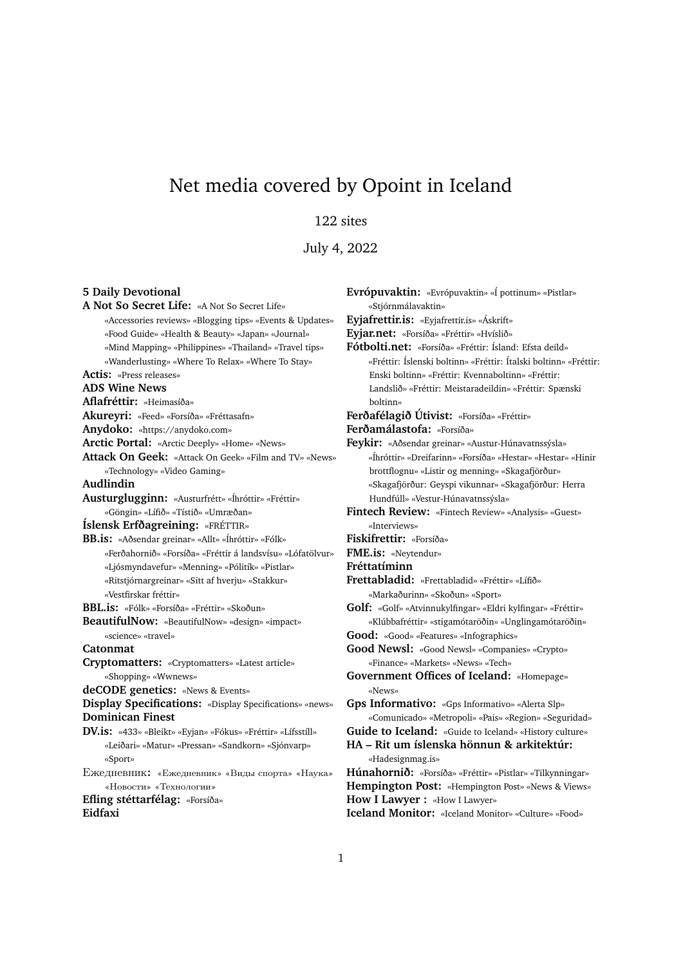# Net media covered by Opoint in Iceland

### 122 sites

July 4, 2022

#### **5 Daily Devotional**

**A Not So Secret Life:** «A Not So Secret Life» «Accessories reviews» «Blogging tips» «Events & Updates» «Food Guide» «Health & Beauty» «Japan» «Journal» «Mind Mapping» «Philippines» «Thailand» «Travel tips» «Wanderlusting» «Where To Relax» «Where To Stay» **Actis:** «Press releases» **ADS Wine News Aflafréttir:** «Heimasíða» **Akureyri:** «Feed» «Forsíða» «Fréttasafn» **Anydoko:** «https://anydoko.com» **Arctic Portal:** «Arctic Deeply» «Home» «News» **Attack On Geek:** «Attack On Geek» «Film and TV» «News» «Technology» «Video Gaming» **Audlindin Austurglugginn:** «Austurfrétt» «Íhróttir» «Fréttir» «Göngin» «Lífið» «Tístið» «Umræðan» **Íslensk Erfðagreining:** «FRÉTTIR» **BB.is:** «Aðsendar greinar» «Allt» «Íhróttir» «Fólk» «Ferðahornið» «Forsíða» «Fréttir á landsvísu» «Lófatölvur» «Ljósmyndavefur» «Menning» «Pólitík» «Pistlar» «Ritstjórnargreinar» «Sitt af hverju» «Stakkur» «Vestfirskar fréttir» **BBL.is:** «Fólk» «Forsíða» «Fréttir» «Skoðun» **BeautifulNow:** «BeautifulNow» «design» «impact» «science» «travel» **Catonmat Cryptomatters:** «Cryptomatters» «Latest article» «Shopping» «Wwnews» **deCODE genetics:** «News & Events» **Display Specifications:** «Display Specifications» «news» **Dominican Finest DV.is:** «433» «Bleikt» «Eyjan» «Fókus» «Fréttir» «Lífsstíll» «Leiðari» «Matur» «Pressan» «Sandkorn» «Sjónvarp» «Sport» Ежедневник**:** «Ежедневник» «Виды спорта» «Наука» «Новости» «Технологии» **Efling stéttarfélag:** «Forsíða» **Eidfaxi** «Stjórnmálavaktin»

**Eyjafrettir.is:** «Eyjafrettir.is» «Áskrift» **Eyjar.net:** «Forsíða» «Fréttir» «Hvíslið» **Fótbolti.net:** «Forsíða» «Fréttir: Ísland: Efsta deild» «Fréttir: Íslenski boltinn» «Fréttir: Ítalski boltinn» «Fréttir: Enski boltinn» «Fréttir: Kvennaboltinn» «Fréttir: Landslið» «Fréttir: Meistaradeildin» «Fréttir: Spænski boltinn» **Ferðafélagið Útivist:** «Forsíða» «Fréttir» **Ferðamálastofa:** «Forsíða» **Feykir:** «Aðsendar greinar» «Austur-Húnavatnssýsla» «Íhróttir» «Dreifarinn» «Forsíða» «Hestar» «Hestar» «Hinir brottflognu» «Listir og menning» «Skagafjörður» «Skagafjörður: Geyspi vikunnar» «Skagafjörður: Herra Hundfúll» «Vestur-Húnavatnssýsla» **Fintech Review:** «Fintech Review» «Analysis» «Guest» «Interviews» **Fiskifrettir:** «Forsíða» **FME.is:** «Neytendur» **Fréttatíminn Frettabladid:** «Frettabladid» «Fréttir» «Lífið» «Markaðurinn» «Skoðun» «Sport» **Golf:** «Golf» «Atvinnukylfingar» «Eldri kylfingar» «Fréttir»

**Evrópuvaktin:** «Evrópuvaktin» «Í pottinum» «Pistlar»

«Klúbbafréttir» «stigamótaröðin» «Unglingamótaröðin» **Good:** «Good» «Features» «Infographics»

Good Newsl: «Good Newsl» «Companies» «Crypto» «Finance» «Markets» «News» «Tech»

**Government Offices of Iceland:** «Homepage» «News»

**Gps Informativo:** «Gps Informativo» «Alerta Slp» «Comunicado» «Metropoli» «Pais» «Region» «Seguridad»

**Guide to Iceland:** «Guide to Iceland» «History culture»

**HA – Rit um íslenska hönnun & arkitektúr:** «Hadesignmag.is»

**Húnahornið:** «Forsíða» «Fréttir» «Pistlar» «Tilkynningar» **Hempington Post:** «Hempington Post» «News & Views» **How I Lawyer :** «How I Lawyer»

**Iceland Monitor:** «Iceland Monitor» «Culture» «Food»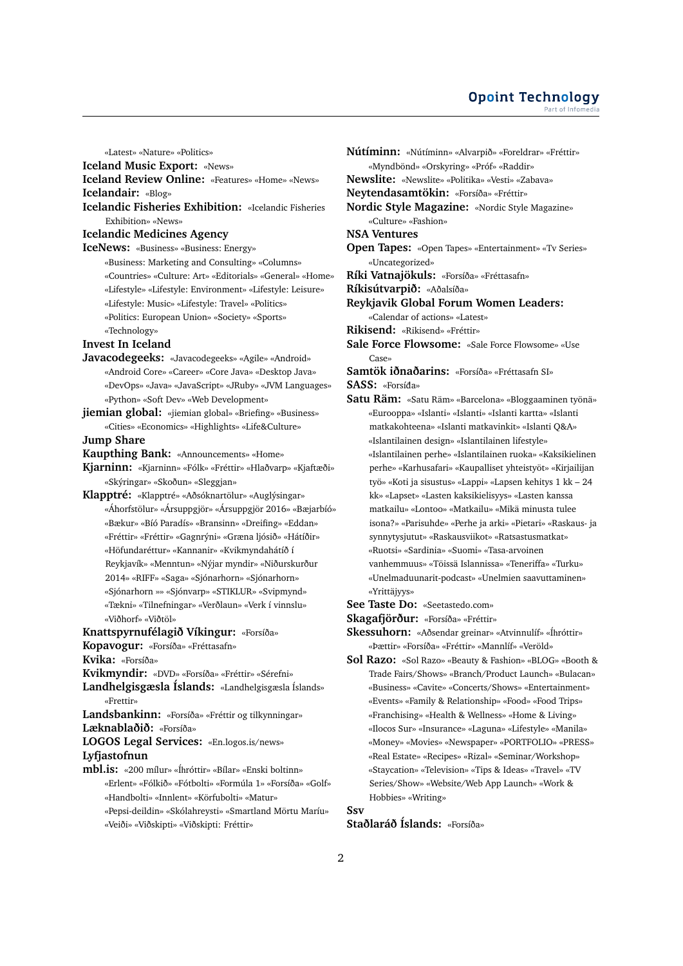#### **Opoint Technology** Part of Infomed

«Latest» «Nature» «Politics» **Iceland Music Export:** «News» **Iceland Review Online:** «Features» «Home» «News» **Icelandair:** «Blog» **Icelandic Fisheries Exhibition:** «Icelandic Fisheries Exhibition» «News» **Icelandic Medicines Agency IceNews:** «Business» «Business: Energy» «Business: Marketing and Consulting» «Columns» «Countries» «Culture: Art» «Editorials» «General» «Home» «Lifestyle» «Lifestyle: Environment» «Lifestyle: Leisure» «Lifestyle: Music» «Lifestyle: Travel» «Politics» «Politics: European Union» «Society» «Sports» «Technology» **Invest In Iceland Javacodegeeks:** «Javacodegeeks» «Agile» «Android» «Android Core» «Career» «Core Java» «Desktop Java» «DevOps» «Java» «JavaScript» «JRuby» «JVM Languages» «Python» «Soft Dev» «Web Development» **jiemian global:** «jiemian global» «Briefing» «Business» «Cities» «Economics» «Highlights» «Life&Culture» **Jump Share Kaupthing Bank:** «Announcements» «Home» **Kjarninn:** «Kjarninn» «Fólk» «Fréttir» «Hlaðvarp» «Kjaftæði» «Skýringar» «Skoðun» «Sleggjan» **Klapptré:** «Klapptré» «Aðsóknartölur» «Auglýsingar» «Áhorfstölur» «Ársuppgjör» «Ársuppgjör 2016» «Bæjarbíó» «Bækur» «Bíó Paradís» «Bransinn» «Dreifing» «Eddan» «Fréttir» «Fréttir» «Gagnrýni» «Græna ljósið» «Hátíðir» «Höfundaréttur» «Kannanir» «Kvikmyndahátíð í Reykjavík» «Menntun» «Nýjar myndir» «Niðurskurður 2014» «RIFF» «Saga» «Sjónarhorn» «Sjónarhorn» «Sjónarhorn »» «Sjónvarp» «STIKLUR» «Svipmynd» «Tækni» «Tilnefningar» «Verðlaun» «Verk í vinnslu» «Viðhorf» «Viðtöl» **Knattspyrnufélagið Víkingur:** «Forsíða» **Kopavogur:** «Forsíða» «Fréttasafn» **Kvika:** «Forsíða» **Kvikmyndir:** «DVD» «Forsíða» «Fréttir» «Sérefni» **Landhelgisgæsla Íslands:** «Landhelgisgæsla Íslands» «Frettir» **Landsbankinn:** «Forsíða» «Fréttir og tilkynningar» **Læknablaðið:** «Forsíða» **LOGOS Legal Services:** «En.logos.is/news» **Lyfjastofnun mbl.is:** «200 mílur» «Íhróttir» «Bílar» «Enski boltinn» «Erlent» «Fólkið» «Fótbolti» «Formúla 1» «Forsíða» «Golf» «Handbolti» «Innlent» «Körfubolti» «Matur» «Pepsi-deildin» «Skólahreysti» «Smartland Mörtu Maríu» «Veiði» «Viðskipti» «Viðskipti: Fréttir»

**Nútíminn:** «Nútíminn» «Alvarpið» «Foreldrar» «Fréttir» «Myndbönd» «Orskyring» «Próf» «Raddir» **Newslite:** «Newslite» «Politika» «Vesti» «Zabava» **Neytendasamtökin:** «Forsíða» «Fréttir» **Nordic Style Magazine:** «Nordic Style Magazine» «Culture» «Fashion» **NSA Ventures Open Tapes:** «Open Tapes» «Entertainment» «Tv Series» «Uncategorized» **Ríki Vatnajökuls:** «Forsíða» «Fréttasafn» **Ríkisútvarpið:** «Aðalsíða» **Reykjavik Global Forum Women Leaders:** «Calendar of actions» «Latest» **Rikisend:** «Rikisend» «Fréttir» **Sale Force Flowsome:** «Sale Force Flowsome» «Use Case» **Samtök iðnaðarins:** «Forsíða» «Fréttasafn SI» **SASS:** «Forsída» ¯ **Satu Räm:** «Satu Räm» «Barcelona» «Bloggaaminen työnä» «Eurooppa» «Islanti» «Islanti» «Islanti kartta» «Islanti matkakohteena» «Islanti matkavinkit» «Islanti Q&A» «Islantilainen design» «Islantilainen lifestyle» «Islantilainen perhe» «Islantilainen ruoka» «Kaksikielinen perhe» «Karhusafari» «Kaupalliset yhteistyöt» «Kirjailijan työ» «Koti ja sisustus» «Lappi» «Lapsen kehitys 1 kk – 24 kk» «Lapset» «Lasten kaksikielisyys» «Lasten kanssa matkailu» «Lontoo» «Matkailu» «Mikä minusta tulee isona?» «Parisuhde» «Perhe ja arki» «Pietari» «Raskaus- ja synnytysjutut» «Raskausviikot» «Ratsastusmatkat» «Ruotsi» «Sardinia» «Suomi» «Tasa-arvoinen vanhemmuus» «Töissä Islannissa» «Teneriffa» «Turku» «Unelmaduunarit-podcast» «Unelmien saavuttaminen» «Yrittäjyys» **See Taste Do:** «Seetastedo.com» **Skagafjörður:** «Forsíða» «Fréttir» **Skessuhorn:** «Aðsendar greinar» «Atvinnulíf» «Íhróttir» «Þættir» «Forsíða» «Fréttir» «Mannlíf» «Veröld» **Sol Razo:** «Sol Razo» «Beauty & Fashion» «BLOG» «Booth & Trade Fairs/Shows» «Branch/Product Launch» «Bulacan» «Business» «Cavite» «Concerts/Shows» «Entertainment»

«Events» «Family & Relationship» «Food» «Food Trips» «Franchising» «Health & Wellness» «Home & Living» «Ilocos Sur» «Insurance» «Laguna» «Lifestyle» «Manila» «Money» «Movies» «Newspaper» «PORTFOLIO» «PRESS» «Real Estate» «Recipes» «Rizal» «Seminar/Workshop» «Staycation» «Television» «Tips & Ideas» «Travel» «TV Series/Show» «Website/Web App Launch» «Work & Hobbies» «Writing»

**Ssv**

## **Staðlaráð Íslands:** «Forsíða»